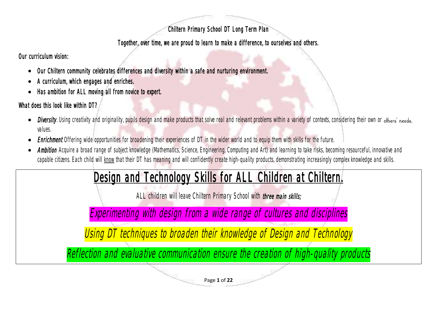### Chiltern Primary School DT Long Term Plan

### Together, over time, we are proud to learn to make a difference, to ourselves and others.

Our curriculum vision:

- Our Chiltern community celebrates differences and diversity within a safe and nurturing environment.
- A curriculum, which engages and enriches.
- Has ambition for ALL moving all from novice to expert.

## What does this look like within DT?

- Diversity. Using creativity and originality, pupils design and make products that solve real and relevant problems within a variety of contexts, considering their own or others' needs, values.
- **Enrichment** Offering wide opportunities for broadening their experiences of DT in the wider world and to equip them with skills for the future.
- Ambition Acquire a broad range of subject knowledge (Mathematics, Science, Engineering, Computing and Art) and learning to take risks, becoming resourceful, innovative and capable citizens. Each child will know that their DT has meaning and will confidently create high-quality products, demonstrating increasingly complex knowledge and skills.

# Design and Technology Skills for ALL Children at Chiltern.

ALL children will leave Chiltern Primary School with three main skills;

Experimenting with design from a wide range of cultures and disciplines

Using DT techniques to broaden their knowledge of Design and Technology

Reflection and evaluative communication ensure the creation of high-quality products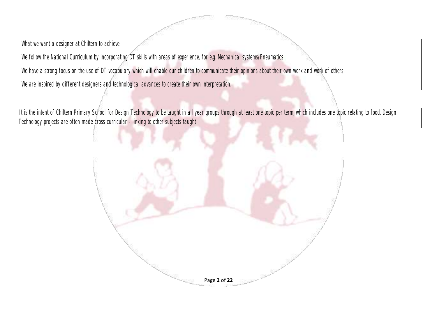What we want a designer at Chiltern to achieve:

We follow the National Curriculum by incorporating DT skills with areas of experience, for e.g. Mechanical systems/Pneumatics.

We have a strong focus on the use of DT vocabulary which will enable our children to communicate their opinions about their own work and work of others.

We are inspired by different designers and technological advances to create their own interpretation.

It is the intent of Chiltern Primary School for Design Technology to be taught in all year groups through at least one topic per term, which includes one topic relating to food. Design Technology projects are often made cross curricular - linking to other subjects taught

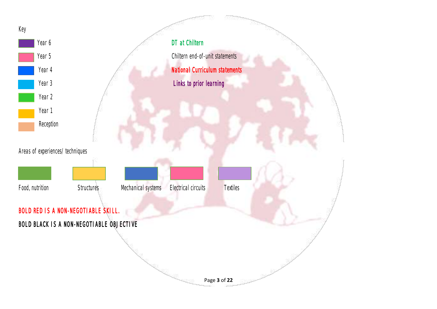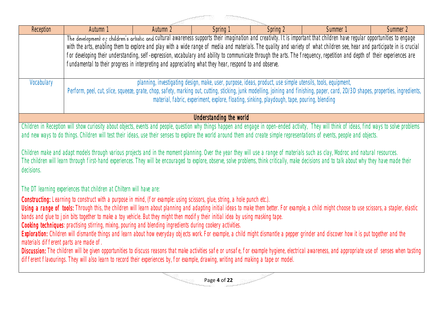| <b>Reception</b>                       | Autumn 1                                                                                                                                                                                                                                                                                                                                                                             | Autumn 2 | Spring 1                | Spring 2 | Summer 1                                                                                                                                                                    | Summer 2 |  |  |
|----------------------------------------|--------------------------------------------------------------------------------------------------------------------------------------------------------------------------------------------------------------------------------------------------------------------------------------------------------------------------------------------------------------------------------------|----------|-------------------------|----------|-----------------------------------------------------------------------------------------------------------------------------------------------------------------------------|----------|--|--|
|                                        |                                                                                                                                                                                                                                                                                                                                                                                      |          |                         |          | The development of children's artistic and cultural awareness supports their imagination and creativity. It is important that children have regular opportunities to engage |          |  |  |
|                                        |                                                                                                                                                                                                                                                                                                                                                                                      |          |                         |          | with the arts, enabling them to explore and play with a wide range of media and materials. The quality and variety of what children see, hear and participate in is crucial |          |  |  |
|                                        |                                                                                                                                                                                                                                                                                                                                                                                      |          |                         |          | for developing their understanding, self-expression, vocabulary and ability to communicate through the arts. The frequency, repetition and depth of their experiences are   |          |  |  |
|                                        | fundamental to their progress in interpreting and appreciating what they hear, respond to and observe.                                                                                                                                                                                                                                                                               |          |                         |          |                                                                                                                                                                             |          |  |  |
|                                        |                                                                                                                                                                                                                                                                                                                                                                                      |          |                         |          |                                                                                                                                                                             |          |  |  |
| Vocabulary                             | planning, investigating design, make, user, purpose, ideas, product, use simple utensils, tools, equipment,                                                                                                                                                                                                                                                                          |          |                         |          |                                                                                                                                                                             |          |  |  |
|                                        | Perform, peel, cut, slice, squeeze, grate, chop, safety, marking out, cutting, sticking, junk modelling, joining and finishing, paper, card, 2D/3D shapes, properties, ingredients,<br>material, fabric, experiment, explore, floating, sinking, playdough, tape, pouring, blending                                                                                                  |          |                         |          |                                                                                                                                                                             |          |  |  |
|                                        |                                                                                                                                                                                                                                                                                                                                                                                      |          |                         |          |                                                                                                                                                                             |          |  |  |
|                                        |                                                                                                                                                                                                                                                                                                                                                                                      |          | Understanding the world |          |                                                                                                                                                                             |          |  |  |
|                                        | Children in Reception will show curiosity about objects, events and people, question why things happen and engage in open-ended activity, They will think of ideas, find ways to solve problems                                                                                                                                                                                      |          |                         |          |                                                                                                                                                                             |          |  |  |
|                                        | and new ways to do things. Children will test their ideas, use their senses to explore the world around them and create simple representations of events, people and objects.                                                                                                                                                                                                        |          |                         |          |                                                                                                                                                                             |          |  |  |
|                                        |                                                                                                                                                                                                                                                                                                                                                                                      |          |                         |          |                                                                                                                                                                             |          |  |  |
|                                        | Children make and adapt models through various projects and in the moment planning. Over the year they will use a range of materials such as clay, Modroc and natural resources.<br>The children will learn through first-hand experiences. They will be encouraged to explore, observe, solve problems, think critically, make decisions and to talk about why they have made their |          |                         |          |                                                                                                                                                                             |          |  |  |
| decisions.                             |                                                                                                                                                                                                                                                                                                                                                                                      |          |                         |          |                                                                                                                                                                             |          |  |  |
|                                        |                                                                                                                                                                                                                                                                                                                                                                                      |          |                         |          |                                                                                                                                                                             |          |  |  |
|                                        | The DT learning experiences that children at Chiltern will have are:                                                                                                                                                                                                                                                                                                                 |          |                         |          |                                                                                                                                                                             |          |  |  |
|                                        | Constructing: Learning to construct with a purpose in mind, (for example: using scissors, glue, string, a hole punch etc.).                                                                                                                                                                                                                                                          |          |                         |          |                                                                                                                                                                             |          |  |  |
|                                        | Using a range of tools: Through this, the children will learn about planning and adapting initial ideas to make them better. For example, a child might choose to use scissors, a stapler, elastic                                                                                                                                                                                   |          |                         |          |                                                                                                                                                                             |          |  |  |
|                                        | bands and qlue to join bits together to make a toy vehicle. But they might then modify their initial idea by using masking tape.                                                                                                                                                                                                                                                     |          |                         |          |                                                                                                                                                                             |          |  |  |
|                                        | Cooking techniques: practising stirring, mixing, pouring and blending ingredients during cookery activities.                                                                                                                                                                                                                                                                         |          |                         |          |                                                                                                                                                                             |          |  |  |
|                                        | Exploration: Children will dismantle things and learn about how everyday objects work. For example, a child might dismantle a pepper grinder and discover how it is put together and the                                                                                                                                                                                             |          |                         |          |                                                                                                                                                                             |          |  |  |
| materials different parts are made of. |                                                                                                                                                                                                                                                                                                                                                                                      |          |                         |          |                                                                                                                                                                             |          |  |  |
|                                        | Discussion: The children will be given opportunities to discuss reasons that make activities safe or unsafe, for example hygiene, electrical awareness, and appropriate use of senses when tasting<br>different flavourings. They will also learn to record their experiences by, for example, drawing, writing and making a tape or model.                                          |          |                         |          |                                                                                                                                                                             |          |  |  |
|                                        |                                                                                                                                                                                                                                                                                                                                                                                      |          |                         |          |                                                                                                                                                                             |          |  |  |
|                                        |                                                                                                                                                                                                                                                                                                                                                                                      |          |                         |          |                                                                                                                                                                             |          |  |  |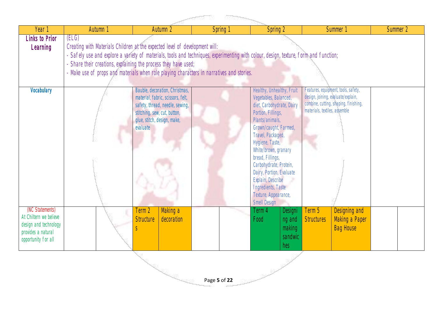| - 100000                                                                                                        |                                                                                                                                                                                                                                                                                                                                                                                             |                                                                                                                                                                                   |          |  |                                                                                                                                                                                                                                                                                                                                                                                |                                                      |                                                                     |                                                                              |          |  |
|-----------------------------------------------------------------------------------------------------------------|---------------------------------------------------------------------------------------------------------------------------------------------------------------------------------------------------------------------------------------------------------------------------------------------------------------------------------------------------------------------------------------------|-----------------------------------------------------------------------------------------------------------------------------------------------------------------------------------|----------|--|--------------------------------------------------------------------------------------------------------------------------------------------------------------------------------------------------------------------------------------------------------------------------------------------------------------------------------------------------------------------------------|------------------------------------------------------|---------------------------------------------------------------------|------------------------------------------------------------------------------|----------|--|
| Year 1                                                                                                          | Autumn 1                                                                                                                                                                                                                                                                                                                                                                                    | Autumn 2                                                                                                                                                                          | Spring 1 |  | Spring 2                                                                                                                                                                                                                                                                                                                                                                       |                                                      |                                                                     | Summer 1                                                                     | Summer 2 |  |
| <b>Links to Prior</b><br>Learning                                                                               | (ELG)<br>Creating with Materials Children at the expected level of development will:<br>- Safely use and explore a variety of materials, tools and techniques, experimenting with colour, design, texture, form and function;<br>Share their creations, explaining the process they have used;<br>- Make use of props and materials when role playing characters in narratives and stories. |                                                                                                                                                                                   |          |  |                                                                                                                                                                                                                                                                                                                                                                                |                                                      |                                                                     |                                                                              |          |  |
| Vocabulary                                                                                                      |                                                                                                                                                                                                                                                                                                                                                                                             | Bauble, decoration, Christmas,<br>material, fabric, scissors, felt,<br>safety, thread, needle, sewing,<br>stitching, sew, cut, button,<br>glue, stitch, design, make,<br>evaluate |          |  | Healthy, Unhealthy, Fruit<br>Vegetables, Balanced,<br>diet, Carbohydrate, Dairy<br>Portion, Fillings,<br>Plants/animals,<br>Grown/caught, Farmed,<br>Travel, Packaged,<br>Hygiene, Taste,<br>White/brown, granary<br>bread, Fillings,<br>Carbohydrate, Protein,<br>Dairy, Portion, Evaluate<br>Explain, Describe<br>Ingredients, Taste<br>Texture, Appearance,<br>Smell Design |                                                      | design, joining, evaluate/explain,<br>materials, textiles, assemble | Features, equipment, tools, safety,<br>combine, cutting, shaping, finishing, |          |  |
| (NC Statements)<br>At Chiltern we believe<br>design and technology<br>provides a natural<br>opportunity for all |                                                                                                                                                                                                                                                                                                                                                                                             | Making a<br>Term 2<br><b>Structure</b><br>decoration                                                                                                                              |          |  | Term 4<br>Food                                                                                                                                                                                                                                                                                                                                                                 | <b>Designi</b><br>ng and<br>making<br>sandwic<br>hes | Term 5<br>Structures                                                | Designing and<br>Making a Paper<br><b>Bag House</b>                          |          |  |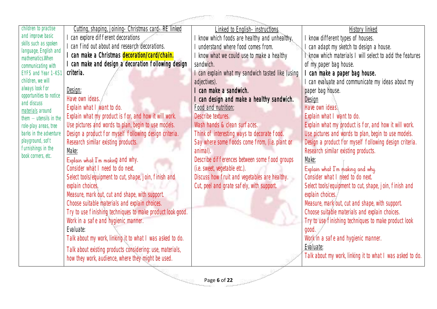| children to practise                           | Cutting, shaping, joining- Christmas card-RE linked        | <u>Linked to English- instructions</u>                              | <u>History linked</u>                                     |
|------------------------------------------------|------------------------------------------------------------|---------------------------------------------------------------------|-----------------------------------------------------------|
| and improve basic                              | can explore different decorations                          | know which foods are healthy and unhealthy.                         | know different types of houses.                           |
| skills such as spoken<br>language, English and | I can find out about and research decorations.             | understand where food comes from.                                   | can adapt my sketch to design a house.                    |
| mathematics. When                              | can make a Christmas decoration/card/chain.                | know what we could use to make a healthy                            | know which materials I will select to add the features    |
| communicating with                             | can make and design a decoration following design          | sandwich.                                                           | of my paper bag house.                                    |
| <b>EYFS and Year 1 -KS1</b>                    | criteria.                                                  | can explain what my sandwich tasted like (using                     | can make a paper bag house.                               |
| children, we will                              |                                                            | adjectives).                                                        | can evaluate and communicate my ideas about my            |
| always look for                                | <u>Design:</u>                                             | can make a sandwich.                                                | paper bag house.                                          |
| opportunities to notice                        | Have own ideas.                                            | can design and make a healthy sandwich.                             | Design                                                    |
| and discuss<br>materials around                | Explain what I want to do.                                 | Food and nutrition:                                                 | Have own ideas.                                           |
| them $-$ utensils in the                       | Explain what my product is for, and how it will work.      | Describe textures.                                                  | Explain what I want to do.                                |
| role-play areas, tree                          | Use pictures and words to plan, begin to use models.       | Wash hands & clean surfaces.                                        | Explain what my product is for, and how it will work.     |
| barks in the adventure                         | Design a product for myself following design criteria.     | Think of interesting ways to decorate food.                         | Use pictures and words to plan, begin to use models.      |
| playground, soft                               | Research similar existing products.                        | Say where some foods come from, (i.e. plant or                      | Design a product for myself following design criteria.    |
| furnishings in the                             | Make:                                                      | animal).                                                            | Research similar existing products.                       |
| book corners, etc.                             | Explain what I'm making and why.                           | Describe differences between some food groups                       | Make:                                                     |
|                                                | Consider what I need to do next.                           | (i.e. sweet, vegetable etc.).                                       | Explain what I'm making and why.                          |
|                                                | Select tools/equipment to cut, shape, join, finish and     | Discuss how fruit and vegetables are healthy.                       | Consider what I need to do next.                          |
|                                                | explain choices.                                           | Cut, peel and grate safely, with support.                           | Select tools/equipment to cut, shape, join, finish and    |
|                                                | Measure, mark out, cut and shape, with support.            |                                                                     | explain choices.                                          |
|                                                | Choose suitable materials and explain choices.             |                                                                     | Measure, mark out, cut and shape, with support.           |
|                                                | Try to use finishing techniques to make product look good. |                                                                     | Choose suitable materials and explain choices.            |
|                                                | Work in a safe and hygienic manner.                        |                                                                     | Try to use finishing techniques to make product look      |
|                                                | Evaluate:                                                  |                                                                     | good.                                                     |
|                                                | Talk about my work, linking it to what I was asked to do.  |                                                                     | Work in a safe and hygienic manner.                       |
|                                                | Talk about existing products considering: use, materials,  |                                                                     | Evaluate:                                                 |
|                                                | how they work, audience, where they might be used.         |                                                                     | Talk about my work, linking it to what I was asked to do. |
|                                                |                                                            |                                                                     |                                                           |
|                                                |                                                            | $\mathbb{S}^{\mathbb{R}^n} \xrightarrow{\mathbb{R}^n} \mathbb{R}^n$ |                                                           |
|                                                |                                                            | Page 6 of 22                                                        |                                                           |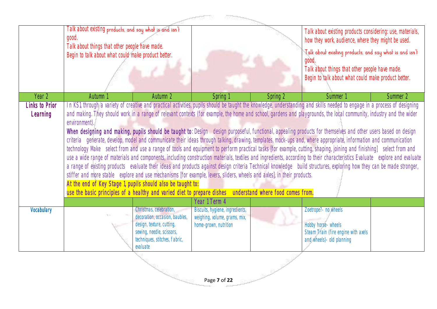|                            | Talk about existing products, and say what is and isn't<br>good.<br>Talk about things that other people have made.<br>Begin to talk about what could make product better.                                                                                                                                                                                                                                                                                                                                                                                                                                                                                                                                                                                                                                                                                                                                                                                                                                                                                                                                                                                                                                                                                                                                                                                                                                                                                                                                                                        |                                                                                                                                                                  |                                                                                           | Talk about existing products considering: use, materials,<br>how they work, audience, where they might be used.<br>Talk about existing products, and say what is and isn't<br>Talk about things that other people have made.<br>Begin to talk about what could make product better. |                                                                                                                 |          |
|----------------------------|--------------------------------------------------------------------------------------------------------------------------------------------------------------------------------------------------------------------------------------------------------------------------------------------------------------------------------------------------------------------------------------------------------------------------------------------------------------------------------------------------------------------------------------------------------------------------------------------------------------------------------------------------------------------------------------------------------------------------------------------------------------------------------------------------------------------------------------------------------------------------------------------------------------------------------------------------------------------------------------------------------------------------------------------------------------------------------------------------------------------------------------------------------------------------------------------------------------------------------------------------------------------------------------------------------------------------------------------------------------------------------------------------------------------------------------------------------------------------------------------------------------------------------------------------|------------------------------------------------------------------------------------------------------------------------------------------------------------------|-------------------------------------------------------------------------------------------|-------------------------------------------------------------------------------------------------------------------------------------------------------------------------------------------------------------------------------------------------------------------------------------|-----------------------------------------------------------------------------------------------------------------|----------|
| Year 2                     | Autumn 1                                                                                                                                                                                                                                                                                                                                                                                                                                                                                                                                                                                                                                                                                                                                                                                                                                                                                                                                                                                                                                                                                                                                                                                                                                                                                                                                                                                                                                                                                                                                         | Autumn 2                                                                                                                                                         | Spring 1                                                                                  | Spring 2                                                                                                                                                                                                                                                                            | Summer 1                                                                                                        | Summer 2 |
| Links to Prior<br>Learning | In KSI, through a variety of creative and practical activities, pupils should be taught the knowledge, understanding and skills needed to engage in a process of designing<br>and making. They should work in a range of relevant contexts (for example, the home and school, gardens and playgrounds, the local community, industry and the wider<br>environment).<br>When designing and making, pupils should be taught to: Design design purposeful, functional, appealing products for themselves and other users based on design<br>criteria generate, develop, model and communicate their ideas through talking, drawing, templates, mock-ups and, where appropriate, information and communication<br>technology Make select from and use a range of tools and equipment to perform practical tasks [for example, cutting, shaping, joining and finishing] select from and<br>use a wide range of materials and components, including construction materials, textiles and ingredients, according to their characteristics Evaluate explore and evaluate<br>a range of existing products evaluate their ideas and products against design criteria Technical knowledge build structures, exploring how they can be made stronger,<br>stiffer and more stable explore and use mechanisms [for example, levers, sliders, wheels and axles], in their products.<br>At the end of Key Stage 1, pupils should also be taught to:<br>use the basic principles of a healthy and varied diet to prepare dishes understand where food comes from. |                                                                                                                                                                  |                                                                                           |                                                                                                                                                                                                                                                                                     |                                                                                                                 |          |
| Vocabulary                 |                                                                                                                                                                                                                                                                                                                                                                                                                                                                                                                                                                                                                                                                                                                                                                                                                                                                                                                                                                                                                                                                                                                                                                                                                                                                                                                                                                                                                                                                                                                                                  | Christmas, celebration,<br>decoration, occasion, baubles,<br>design, texture, cutting,<br>sewing, needle, scissors,<br>techniques, stitches, fabric,<br>evaluate | Biscuits, hygiene, ingredients,<br>weighing, volume, grams, mix,<br>home-grown, nutrition |                                                                                                                                                                                                                                                                                     | Zoetrope?- no wheels<br>Hobby horse- wheels<br>Steam Train (fire engine with axels<br>and wheels)- old planning |          |
|                            |                                                                                                                                                                                                                                                                                                                                                                                                                                                                                                                                                                                                                                                                                                                                                                                                                                                                                                                                                                                                                                                                                                                                                                                                                                                                                                                                                                                                                                                                                                                                                  |                                                                                                                                                                  | Page 7 of 22                                                                              |                                                                                                                                                                                                                                                                                     |                                                                                                                 |          |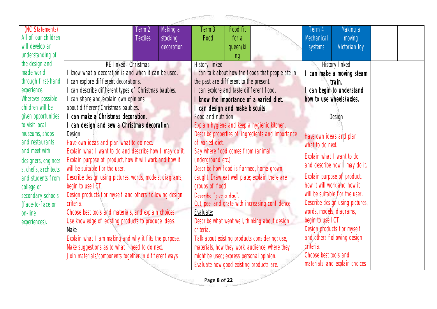|                      |                                                          | aggraphies.                                       |                                 |
|----------------------|----------------------------------------------------------|---------------------------------------------------|---------------------------------|
| (NC Statements)      | Term 2<br>Making a                                       | Food fit<br>Term 3                                | Making a<br>Term 4              |
| All of our children  | <b>Textiles</b><br>stocking                              | Food<br>for a                                     | Mechanical<br>moving            |
| will develop an      | decoration                                               | queen/ki                                          | Victorian toy<br>systems        |
| understanding of     |                                                          | ng                                                |                                 |
| the design and       | RE linked- Christmas                                     | <b>History linked</b>                             | History linked                  |
| made world           | I know what a decoration is and when it can be used.     | I can talk about how the foods that people ate in | can make a moving steam         |
| through first-hand   | I can explore different decorations.                     | the past are different to the present.            | train.                          |
| experience.          | I can describe different types of Christmas baubles.     | can explore and taste different food.             | can begin to understand         |
| Wherever possible    | I can share and explain own opinions                     | know the importance of a varied diet.             | how to use wheels/axles.        |
| children will be     | about different Christmas baubles.                       | can design and make biscuits.                     |                                 |
| given opportunities  | I can make a Christmas decoration.                       | Food and nutrition                                | Design                          |
| to visit local       | can design and sew a Christmas decoration.               | Explain hygiene and keep a hygienic kitchen.      |                                 |
| museums, shops       | Design                                                   | Describe properties of ingredients and importance | Have own ideas and plan         |
| and restaurants      | Have own ideas and plan what to do next.                 | of varied diet.                                   | what to do next.                |
| and meet with        | Explain what I want to do and describe how I may do it.  | Say where food comes from (animal,                | Explain what I want to do       |
| designers, engineer  | Explain purpose of product, how it will work and how it  | underground etc.).                                | and describe how I may do it.   |
| s, chefs, architects | will be suitable for the user.                           | Describe how food is farmed, home-grown,          |                                 |
| and students from    | Describe design using pictures, words, models, diagrams, | caught. Draw eat well plate; explain there are    | Explain purpose of product,     |
| college or           | begin to use ICT.                                        | groups of food.                                   | how it will work and how it     |
| secondary schools    | Design products for myself and others following design   | Describe " rive a day".                           | will be suitable for the user.  |
| (face-to-face or     | criteria.                                                | Cut, peel and grate with increasing confidence.   | Describe design using pictures, |
| on-line              | Choose best tools and materials, and explain choices.    | Evaluate:                                         | words, models, diagrams,        |
| experiences).        | Use knowledge of existing products to produce ideas.     | Describe what went well, thinking about design    | begin to use ICT.               |
|                      | Make                                                     | criteria.                                         | Design products for myself      |
|                      | Explain what I am making and why it fits the purpose.    | Talk about existing products considering: use,    | and others following design     |
|                      | Make suggestions as to what I need to do next.           | materials, how they work, audience, where they    | criteria.                       |
|                      | Join materials/components together in different ways     | might be used; express personal opinion.          | Choose best tools and           |
|                      |                                                          | Evaluate how good existing products are.          | materials, and explain choices  |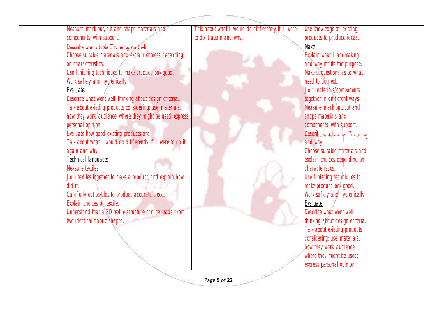

Page **9** of **22**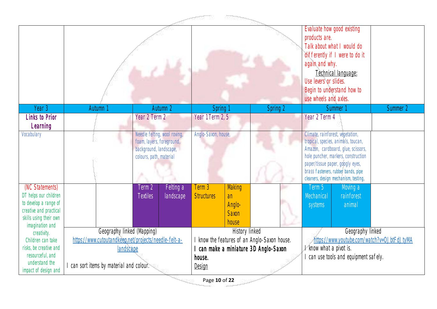|                                           | -----<br><b>References</b>                            |                                                           |           |                     |                |                                            |                                  |                                                                             |          |  |
|-------------------------------------------|-------------------------------------------------------|-----------------------------------------------------------|-----------|---------------------|----------------|--------------------------------------------|----------------------------------|-----------------------------------------------------------------------------|----------|--|
|                                           |                                                       |                                                           |           |                     |                |                                            | products are.                    | Evaluate how good existing                                                  |          |  |
|                                           |                                                       |                                                           |           |                     |                |                                            |                                  | Talk about what I would do                                                  |          |  |
|                                           |                                                       |                                                           |           |                     |                |                                            |                                  | differently if I were to do it                                              |          |  |
|                                           |                                                       |                                                           |           |                     |                |                                            | again and why.                   |                                                                             |          |  |
|                                           |                                                       |                                                           |           |                     |                |                                            |                                  | Technical language:                                                         |          |  |
|                                           |                                                       |                                                           |           |                     |                | Use levers or slides.                      |                                  |                                                                             |          |  |
|                                           |                                                       |                                                           |           |                     |                |                                            |                                  | Begin to understand how to                                                  |          |  |
|                                           |                                                       |                                                           |           |                     |                |                                            | use wheels and axles.            |                                                                             |          |  |
| Year 3                                    | Autumn                                                |                                                           | Autumn 2  | Spring 1            |                | Spring 2                                   |                                  | Summer <sup>1</sup>                                                         | Summer 2 |  |
| <b>Links to Prior</b>                     |                                                       | Year 2 Term 2                                             |           | Year 1 Term 2, 5    |                |                                            | Year 2 Term 4                    |                                                                             |          |  |
| Learning                                  |                                                       |                                                           |           |                     |                |                                            |                                  |                                                                             |          |  |
| Vocabulary                                |                                                       | Needle felting, wool roving,<br>foam, layers, foreground, |           | Anglo-Saxon, house, |                |                                            | Climate, rainforest, vegetation, | tropical, species, animals, toucan,                                         |          |  |
|                                           |                                                       | background, landscape,                                    |           |                     |                |                                            |                                  | Amazon, cardboard, glue, scissors,                                          |          |  |
|                                           |                                                       | colours, path, material                                   |           |                     |                |                                            |                                  | hole puncher, markers, construction                                         |          |  |
|                                           |                                                       |                                                           |           |                     |                |                                            |                                  | paper/tissue paper, googly eyes,                                            |          |  |
|                                           |                                                       |                                                           |           |                     |                |                                            |                                  | brass fasteners, rubber bands, pipe<br>cleaners, design mechanism, testing, |          |  |
| (NC Statements)                           |                                                       | Term 2                                                    | Felting a | Term 3              | Making         |                                            | Term 5                           | Moving a                                                                    |          |  |
| DT helps our children                     |                                                       | <b>Textiles</b>                                           | landscape | <b>Structures</b>   | an             |                                            | Mechanical                       | rainforest                                                                  |          |  |
| to develop a range of                     |                                                       |                                                           |           |                     | Anglo-         |                                            | systems                          | animal                                                                      |          |  |
| creative and practical                    |                                                       |                                                           |           |                     | <b>Saxon</b>   |                                            |                                  |                                                                             |          |  |
| skills using their own<br>imagination and |                                                       |                                                           |           |                     | house          |                                            |                                  |                                                                             |          |  |
| creativity.                               | Geography linked (Mapping)                            |                                                           |           |                     | History linked |                                            |                                  | Geography linked                                                            |          |  |
| Children can take                         | https://www.cutoutandkeep.net/projects/needle-felt-a- |                                                           |           |                     |                | know the features of an Anglo-Saxon house. |                                  | https://www.youtube.com/watch?v=OJbtFdJtyMA                                 |          |  |
| risks, be creative and                    | landscape                                             |                                                           |           |                     |                | can make a miniature 3D Anglo-Saxon        | know what a pivot is.            |                                                                             |          |  |
| resourceful, and<br>understand the        |                                                       |                                                           |           | house.              |                |                                            |                                  | can use tools and equipment safely.                                         |          |  |
| impact of design and                      | I can sort items by material and colour.              |                                                           |           | Design              |                |                                            |                                  |                                                                             |          |  |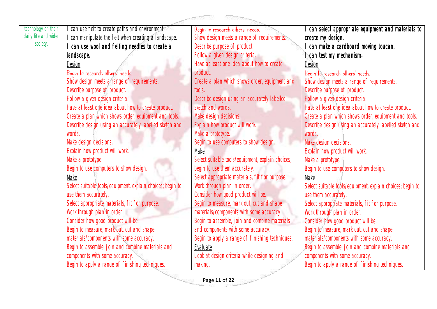| technology on their  | I can use felt to create paths and environment.            | Beqin to research others' needs.                  | can select appropriate equipment and materials to          |
|----------------------|------------------------------------------------------------|---------------------------------------------------|------------------------------------------------------------|
| daily life and wider | I can manipulate the felt when creating a landscape.       | Show design meets a range of requirements.        | create my design.                                          |
| society.             | can use wool and felting needles to create a               | Describe purpose of product.                      | can make a cardboard moving toucan.                        |
|                      | landscape.                                                 | Follow a given design criteria.                   | can test my mechanism.                                     |
|                      | Design                                                     | Have at least one idea about how to create        | Design                                                     |
|                      | Beqin to research others' needs.                           | product.                                          | Beqin to research others' needs.                           |
|                      | Show design meets a range of requirements.                 | Create a plan which shows order, equipment and    | Show design meets a range of requirements.                 |
|                      | Describe purpose of product.                               | tools.                                            | Describe purpose of product.                               |
|                      | Follow a given design criteria.                            | Describe design using an accurately labelled      | Follow a given design criteria.                            |
|                      | Have at least one idea about how to create product.        | sketch and words.                                 | Have at least one idea about how to create product.        |
|                      | Create a plan which shows order, equipment and tools.      | Make design decisions.                            | Create a plan which shows order, equipment and tools.      |
|                      | Describe design using an accurately labelled sketch and    | Explain how product will work.                    | Describe design using an accurately labelled sketch and    |
|                      | words.                                                     | Make a prototype.                                 | words.                                                     |
|                      | Make design decisions.                                     | Begin to use computers to show design.            | Make design decisions.                                     |
|                      | Explain how product will work.                             | Make                                              | Explain how product will work.                             |
|                      | Make a prototype.                                          | Select suitable tools/equipment, explain choices; | Make a prototype.                                          |
|                      | Begin to use computers to show design.                     | begin to use them accurately.                     | Begin to use computers to show design.                     |
|                      | Make                                                       | Select appropriate materials, fit for purpose.    | Make                                                       |
|                      | Select suitable tools/equipment, explain choices; begin to | Work through plan in order.                       | Select suitable tools/equipment, explain choices; begin to |
|                      | use them accurately.                                       | Consider how good product will be.                | use them accurately.                                       |
|                      | Select appropriate materials, fit for purpose.             | Begin to measure, mark out, cut and shape         | Select appropriate materials, fit for purpose.             |
|                      | Work through plan in order.                                | materials/components with some accuracy.          | Work through plan in order.                                |
|                      | Consider how good product will be.                         | Begin to assemble, join and combine materials     | Consider how good product will be.                         |
|                      | Begin to measure, mark out, cut and shape                  | and components with some accuracy.                | Begin to measure, mark out, cut and shape                  |
|                      | materials/components with some accuracy.                   | Begin to apply a range of finishing techniques.   | materials/components with some accuracy.                   |
|                      | Begin to assemble, join and combine materials and          | Evaluate                                          | Begin to assemble, join and combine materials and          |
|                      | components with some accuracy.                             | Look at design criteria while designing and       | components with some accuracy.                             |
|                      | Begin to apply a range of finishing techniques.            | making.                                           | Begin to apply a range of finishing techniques.            |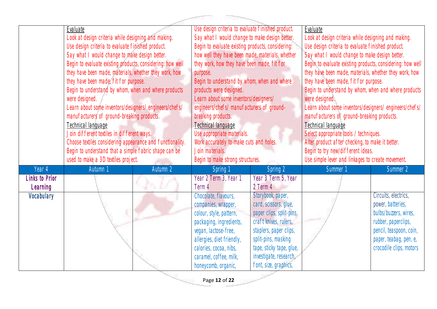## **Contract Communication**

|                       | Evaluate                                                   |          | Use design criteria to evaluate finished product. |                          | Evaluate                                                   |                         |  |
|-----------------------|------------------------------------------------------------|----------|---------------------------------------------------|--------------------------|------------------------------------------------------------|-------------------------|--|
|                       | Look at design criteria while designing and making.        |          | Say what I would change to make design better.    |                          | Look at design criteria while designing and making.        |                         |  |
|                       | Use design criteria to evaluate finished product.          |          | Begin to evaluate existing products, considering: |                          | Use design criteria to evaluate finished product.          |                         |  |
|                       | Say what I would change to make design better.             |          | how well they have been made, materials, whether  |                          | Say what I would change to make design better.             |                         |  |
|                       | Begin to evaluate existing products, considering: how well |          | they work, how they have been made, fit for       |                          | Begin to evaluate existing products, considering: how well |                         |  |
|                       | they have been made, materials, whether they work, how     |          | purpose.                                          |                          | they have been made, materials, whether they work, how     |                         |  |
|                       | they have been made, fit for purpose.                      |          | Begin to understand by whom, when and where       |                          | they have been made, fit for purpose.                      |                         |  |
|                       | Begin to understand by whom, when and where products       |          | products were designed.                           |                          | Begin to understand by whom, when and where products       |                         |  |
|                       | were designed.                                             |          | Learn about some inventors/designers/             |                          | were designed.                                             |                         |  |
|                       | Learn about some inventors/designers/engineers/chefs/      |          | engineers/chefs/ manufacturers of ground-         |                          | Learn about some inventors/designers/ engineers/chefs/     |                         |  |
|                       | manufacturers of ground-breaking products.                 |          | breaking products.                                |                          | manufacturers of ground-breaking products.                 |                         |  |
|                       | Technical language                                         |          | Technical language                                |                          | Technical language                                         |                         |  |
|                       | Join different textiles in different ways.                 |          | Use appropriate materials.                        |                          | Select appropriate tools / techniques.                     |                         |  |
|                       | Choose textiles considering appearance and functionality.  |          | Work accurately to make cuts and holes.           |                          | Alter product after checking, to make it better.           |                         |  |
|                       | Begin to understand that a simple fabric shape can be      |          | Join materials.                                   |                          | Begin to try new/different ideas.                          |                         |  |
|                       | used to make a 3D textiles project.                        |          | Begin to make strong structures.                  |                          | Use simple lever and linkages to create movement.          |                         |  |
| Year 4                | Autumn 1                                                   | Autumn 2 | Spring 1                                          | Spring 2                 | Summer <sup>1</sup>                                        | Summer 2                |  |
| <b>Links to Prior</b> |                                                            |          | Year 2 Term 3, Year 1                             | Year 3 Term 5, Year      |                                                            |                         |  |
| Learning              |                                                            |          | Term 4                                            | 2 Term 4                 |                                                            |                         |  |
| Vocabulary            |                                                            |          | Chocolate, flavours,                              | Storybook, paper,        |                                                            | Circuits, electrics,    |  |
|                       |                                                            |          | companies, wrapper,                               | card, scissors, glue,    |                                                            | power, batteries,       |  |
|                       |                                                            |          | colour, style, pattern,                           | paper clips, split-pins, |                                                            | bulbs/buzzers, wires,   |  |
|                       |                                                            |          | packaging, ingredients,                           | craft knives, rulers,    |                                                            | rubber, paperclips,     |  |
|                       |                                                            |          | vegan, lactose-free,                              | staplers, paper clips,   |                                                            | pencil, teaspoon, coin, |  |
|                       |                                                            |          | allergies, diet friendly,                         | split-pins, masking      |                                                            | paper, teabag, pen, e,  |  |
|                       |                                                            |          | calories, cocoa, nibs,                            | tape, sticky tape, glue, |                                                            | crocodile clips, motors |  |
|                       |                                                            |          | caramel, coffee, milk,                            | investigate, research,   |                                                            |                         |  |
|                       |                                                            |          | honeycomb, organic,                               | font, size, graphics,    |                                                            |                         |  |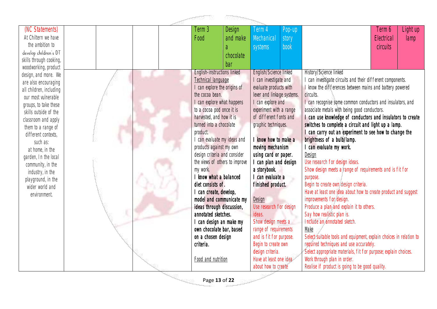

| (NC Statements)         |  | Term 3                                                         | Design    | lerm 4                           | Pop-up |                                                                     | Term 6     | Light up |
|-------------------------|--|----------------------------------------------------------------|-----------|----------------------------------|--------|---------------------------------------------------------------------|------------|----------|
| At Chiltern we have     |  | Food                                                           | and make  | Mechanical                       | story  |                                                                     | Electrical | lamp     |
| the ambition to         |  |                                                                | a         | systems                          | book   |                                                                     | circuits   |          |
| develop children's DT   |  |                                                                | chocolate |                                  |        |                                                                     |            |          |
| skills through cooking, |  |                                                                |           |                                  |        |                                                                     |            |          |
| woodworking, product    |  |                                                                | bar       |                                  |        |                                                                     |            |          |
| design, and more. We    |  | English-instructions linked                                    |           | English/Science linked           |        | History/Science linked                                              |            |          |
| are also encouraging    |  | Technical language                                             |           | I can investigate and            |        | can investigate circuits and their different components.            |            |          |
| all children, including |  | I can explore the origins of                                   |           | evaluate products with           |        | I know the differences between mains and battery powered            |            |          |
| our most vulnerable     |  | the cocoa bean.                                                |           | lever and linkage systems.       |        | circuits.                                                           |            |          |
| groups, to take these   |  | I can explore what happens                                     |           | I can explore and                |        | I can recognise some common conductors and insulators, and          |            |          |
| skills outside of the   |  | to a cocoa pod once it is                                      |           | experiment with a range          |        | associate metals with being good conductors.                        |            |          |
| classroom and apply     |  | harvested, and how it is                                       |           | of different fonts and           |        | I can use knowledge of conductors and insulators to create          |            |          |
| them to a range of      |  | turned into a chocolate                                        |           | graphic techniques.              |        | switches to complete a circuit and light up a lamp.                 |            |          |
| different contexts,     |  | product.                                                       |           |                                  |        | I can carry out an experiment to see how to change the              |            |          |
| such as:                |  | I can evaluate my ideas and                                    |           | know how to make a               |        | brightness of a bulb/lamp.                                          |            |          |
| at home, in the         |  | products against my own                                        |           | moving mechanism                 |        | I can evaluate my work.                                             |            |          |
| garden, In the local    |  | design criteria and consider<br>the views of others to improve |           | using card or paper.             |        | Design<br>Use research for design ideas.                            |            |          |
| community, in the       |  |                                                                |           | can plan and design              |        | Show design meets a range of requirements and is fit for            |            |          |
| industry, in the        |  | my work.<br>I know what a balanced                             |           | a storybook.<br>I can evaluate a |        |                                                                     |            |          |
| playground, in the      |  | diet consists of.                                              |           | finished product.                |        | purpose.<br>Begin to create own design criteria.                    |            |          |
| wider world and         |  | I can create, develop,                                         |           |                                  |        | Have at least one idea about how to create product and suggest      |            |          |
| environment.            |  | model and communicate my                                       |           | Design                           |        | improvements for design.                                            |            |          |
|                         |  | ideas through discussion,                                      |           | Use research for design          |        | Produce a plan and explain it to others.                            |            |          |
|                         |  | annotated sketches.                                            |           | ideas.                           |        | Say how realistic plan is.                                          |            |          |
|                         |  | I can design an make my                                        |           | Show design meets a              |        | Include an annotated sketch.                                        |            |          |
|                         |  | own chocolate bar, based                                       |           | range of requirements            |        | Make                                                                |            |          |
|                         |  | on a chosen design                                             |           | and is fit for purpose.          |        | Select suitable tools and equipment, explain choices in relation to |            |          |
|                         |  | criteria.                                                      |           | Begin to create own              |        | required techniques and use accurately.                             |            |          |
|                         |  |                                                                |           | design criteria.                 |        | Select appropriate materials, fit for purpose; explain choices.     |            |          |
|                         |  | Food and nutrition                                             |           | Have at least one idea           |        | Work through plan in order.                                         |            |          |
|                         |  |                                                                |           | about how to create              |        | Realise if product is going to be good quality.                     |            |          |
|                         |  |                                                                |           |                                  |        |                                                                     |            |          |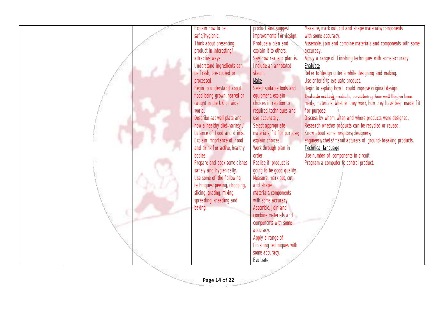

Page **14** of **22**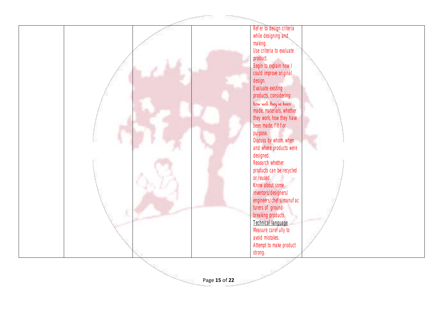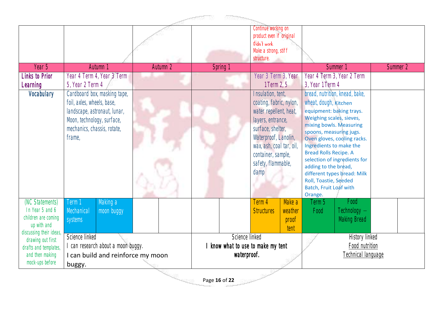| - 1902 -                                                                                                                 |                                                                                                                                                                   |          |                |                                                                                                                                                                                                                          |                                    |                                                                                                                                                                                                                                      |                                                                                                                                                                                     |          |  |
|--------------------------------------------------------------------------------------------------------------------------|-------------------------------------------------------------------------------------------------------------------------------------------------------------------|----------|----------------|--------------------------------------------------------------------------------------------------------------------------------------------------------------------------------------------------------------------------|------------------------------------|--------------------------------------------------------------------------------------------------------------------------------------------------------------------------------------------------------------------------------------|-------------------------------------------------------------------------------------------------------------------------------------------------------------------------------------|----------|--|
|                                                                                                                          |                                                                                                                                                                   |          |                | Continue working on<br>product even if original<br>didn't work<br>Make a strong, stiff<br>structure.                                                                                                                     |                                    |                                                                                                                                                                                                                                      |                                                                                                                                                                                     |          |  |
| Year 5                                                                                                                   | Autumn 1                                                                                                                                                          | Autumn 2 | Spring 1       |                                                                                                                                                                                                                          |                                    |                                                                                                                                                                                                                                      | Summer 1                                                                                                                                                                            | Summer 2 |  |
| <b>Links to Prior</b><br>Learning                                                                                        | Year 4 Term 4, Year 3 Term<br>5, Year 2 Term 4                                                                                                                    |          |                | Year 3 Term 3, Year<br>1 Term 2, 5                                                                                                                                                                                       |                                    | 3, Year 1 Term 4                                                                                                                                                                                                                     | Year 4 Term 3, Year 2 Term                                                                                                                                                          |          |  |
| Vocabulary                                                                                                               | Cardboard box, masking tape,<br>foil, axles, wheels, base,<br>landscape, astronaut, lunar,<br>Moon, technology, surface,<br>mechanics, chassis, rotate,<br>frame, |          |                | Insulation, tent,<br>coating, fabric, nylon,<br>water repellent, heat,<br>layers, entrance,<br>surface, shelter,<br>Waterproof, Lanolin,<br>wax, ash, coal tar, oil,<br>container, sample,<br>safety, flammable,<br>damp |                                    | wheat, dough, <b>Kitchen</b><br>Weighing scales, sieves,<br>spoons, measuring jugs.<br>Ingredients to make the<br><b>Bread Rolls Recipe. A</b><br>adding to the bread,<br>Roll, Toastie, Seeded<br>Batch, Fruit Loaf with<br>Orange. | bread, nutrition, knead, bake,<br>equipment: baking trays.<br>mixing bowls. Measuring<br>Oven gloves, cooling racks.<br>selection of ingredients for<br>different types bread: Milk |          |  |
| (NC Statements)<br>In Year 5 and 6<br>children are coming<br>up with and<br>discussing their ideas,<br>drawing out first | Making a<br>Term 1<br>Mechanical<br>moon buggy<br>systems<br>Science linked                                                                                       |          | Science linked | Term 4<br><b>Structures</b>                                                                                                                                                                                              | Make a<br>weather<br>proof<br>tent | Term 5<br>Food                                                                                                                                                                                                                       | Food<br>Technology -<br><b>Making Bread</b><br>History linked                                                                                                                       |          |  |
| drafts and templates,<br>and then making<br>mock-ups before                                                              | can research about a moon buggy.<br>I can build and reinforce my moon<br>buggy.                                                                                   |          |                | know what to use to make my tent<br>waterproof.                                                                                                                                                                          |                                    |                                                                                                                                                                                                                                      | Food nutrition<br><b>Technical language</b>                                                                                                                                         |          |  |
|                                                                                                                          |                                                                                                                                                                   |          | Page 16 of 22  |                                                                                                                                                                                                                          |                                    |                                                                                                                                                                                                                                      |                                                                                                                                                                                     |          |  |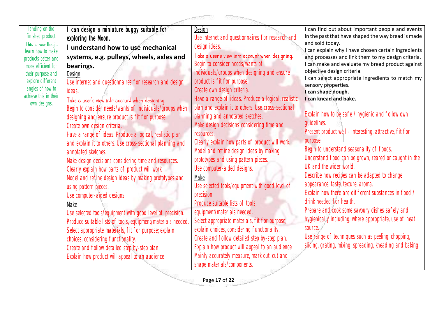landing on the I can design a miniature buggy suitable for I can find out about important people and events Design finished product. in the past that have shaped the way bread is made Use internet and questionnaires for research and exploring the Moon. and sold today. This is how they'll design ideas. I **understand how to use mechanical**  I can explain why I have chosen certain ingredients learn how to make Take a user's view into account when designing. **systems, e.g. pulleys, wheels, axles and**  and processes and link them to my design criteria. products better and Begin to consider needs/wants of I can make and evaluate my bread product against more efficient for **bearings.** objective design criteria. individuals/groups when designing and ensure their purpose and Design I can select appropriate ingredients to match my explore different product is fit for purpose. Use internet and questionnaires for research and design sensory properties. angles of how to Create own design criteria. ideas. **I can shape dough.** achieve this in their Have a range of ideas. Produce a logical, realistic Take a user's view into account when designing. **I can knead and bake.** own designs. plan and explain it to others. Use cross-sectional Begin to consider needs/wants of individuals/groups when Explain how to be safe / hygienic and follow own planning and annotated sketches. designing and ensure product is fit for purpose. guidelines. Make design decisions considering time and Create own design criteria. Present product well - interesting, attractive, fit for Have a range of ideas. Produce a logical, realistic plan resources. purpose. and explain it to others. Use cross-sectional planning and Clearly explain how parts of product will work. Begin to understand seasonality of foods. Model and refine design ideas by making annotated sketches. Understand food can be grown, reared or caught in the prototypes and using pattern pieces. Make design decisions considering time and resources. UK and the wider world. Use computer-aided designs. Clearly explain how parts of product will work. Describe how recipes can be adapted to change Model and refine design ideas by making prototypes and Make appearance, taste, texture, aroma. Use selected tools/equipment with good level of using pattern pieces. Explain how there are different substances in food / precision. Use computer-aided designs. drink needed for health. Produce suitable lists of tools, Make Prepare and cook some savoury dishes safely and equipment/materials needed. Use selected tools/equipment with good level of precision. hygienically including, where appropriate, use of heat Select appropriate materials, fit for purpose; Produce suitable lists of tools, equipment/materials needed. source. explain choices, considering functionality. Select appropriate materials, fit for purpose; explain Use range of techniques such as peeling, chopping, Create and follow detailed step by-step plan. choices, considering functionality. slicing, grating, mixing, spreading, kneading and baking.Explain how product will appeal to an audience Create and follow detailed step by-step plan. Mainly accurately measure, mark out, cut and Explain how product will appeal to an audience shape materials/components.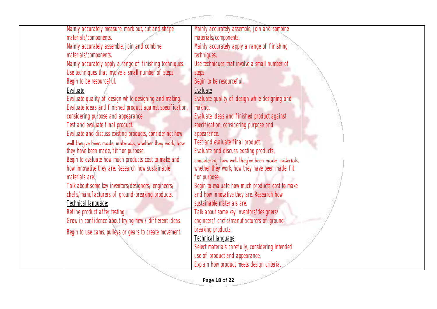Mainly accurately measure, mark out, cut and shape materials/components. Mainly accurately assemble, join and combine materials/components. Mainly accurately apply a range of finishing techniques. Use techniques that involve a small number of steps. Begin to be resourceful. Evaluate Evaluate quality of design while designing and making. Evaluate ideas and finished product against specification, considering purpose and appearance. Test and evaluate final product. Evaluate and discuss existing products, considering: how well they've been made, materials, whether they work, how they have been made, fit for purpose. Begin to evaluate how much products cost to make and how innovative they are. Research how sustainable materials are. Talk about some key inventors/designers/ engineers/ chefs/manufacturers of ground-breaking products. Technical language: Refine product after testing. Grow in confidence about trying new / different ideas. Begin to use cams, pulleys or gears to create movement. Mainly accurately assemble, join and combine materials/components. Mainly accurately apply a range of finishing techniques. Use techniques that involve a small number of steps. Begin to be resourceful. Evaluate Evaluate quality of design while designing and making. Evaluate ideas and finished product against specification, considering purpose and appearance. Test and evaluate final product. Evaluate and discuss existing products,<br>considering: how well they've been made, materials, whether they work, how they have been made, fit for purpose. Begin to evaluate how much products cost to make and how innovative they are. Research how sustainable materials are. Talk about some key inventors/designers/ engineers/ chefs/manufacturers of groundbreaking products. Technical language: Select materials carefully, considering intended use of product and appearance. Explain how product meets design criteria.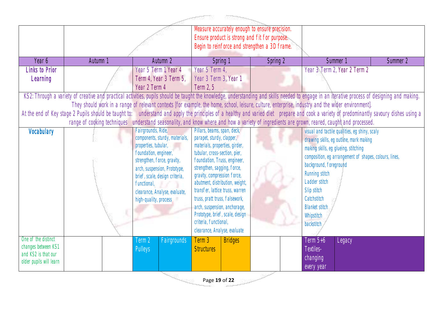|                                            |                                                                                                                                                                                                |                                               | Measure accurately enough to ensure precision.<br>Ensure product is strong and fit for purpose.<br>Begin to reinforce and strengthen a 3D frame. |                |          |                                                        |                                               |          |
|--------------------------------------------|------------------------------------------------------------------------------------------------------------------------------------------------------------------------------------------------|-----------------------------------------------|--------------------------------------------------------------------------------------------------------------------------------------------------|----------------|----------|--------------------------------------------------------|-----------------------------------------------|----------|
| Year 6                                     | Autumn 1                                                                                                                                                                                       | Autumn 2                                      | Spring 1                                                                                                                                         |                | Spring 2 |                                                        | Summer 1                                      | Summer 2 |
| Links to Prior                             |                                                                                                                                                                                                | Year 5 Term 1, Year 4                         | Year 5 Term 4,                                                                                                                                   |                |          |                                                        | Year 3 Term 2, Year 2 Term 2                  |          |
| Learning                                   |                                                                                                                                                                                                | Term 4, Year 3 Term 5,                        | Year 3 Term 3, Year                                                                                                                              |                |          |                                                        |                                               |          |
|                                            |                                                                                                                                                                                                | Year 2 Term 4                                 | Term 2, 5                                                                                                                                        |                |          |                                                        |                                               |          |
|                                            | KS2: Through a variety of creative and practical activities, pupils should be taught the knowledge, understanding and skills needed to engage in an iterative process of designing and making. |                                               |                                                                                                                                                  |                |          |                                                        |                                               |          |
|                                            | They should work in a range of relevant contexts [for example, the home, school, leisure, culture, enterprise, industry and the wider environment].                                            |                                               |                                                                                                                                                  |                |          |                                                        |                                               |          |
|                                            | At the end of Key stage 2 Pupils should be taught to: understand and apply the principles of a healthy and varied diet prepare and cook a variety of predominantly savoury dishes using a      |                                               |                                                                                                                                                  |                |          |                                                        |                                               |          |
|                                            | range of cooking techniques understand seasonality, and know where and how a variety of ingredients are grown, reared, caught and processed.                                                   |                                               |                                                                                                                                                  |                |          |                                                        |                                               |          |
| Vocabulary                                 |                                                                                                                                                                                                | Fairgrounds, Ride,                            | Pillars, beams, span, deck,                                                                                                                      |                |          |                                                        | visual and tactile qualities, eq shiny, scaly |          |
|                                            |                                                                                                                                                                                                | components, sturdy, materials,                | parapet, sturdy, clapper,                                                                                                                        |                |          |                                                        | drawing skills, eg outline, mark making       |          |
|                                            |                                                                                                                                                                                                | properties, tubular,<br>foundation, engineer, | materials, properties, girder,<br>tubular, cross-section, pier,                                                                                  |                |          |                                                        | making skills, eg glueing, stitching          |          |
|                                            |                                                                                                                                                                                                | strengthen, force, gravity,                   | foundation, Truss, engineer,                                                                                                                     |                |          | composition, eg arrangement of shapes, colours, lines, |                                               |          |
|                                            |                                                                                                                                                                                                | arch, suspension, Prototype,                  | strengthen, sagging, force,                                                                                                                      |                |          | background, foreground                                 |                                               |          |
|                                            |                                                                                                                                                                                                | brief, scale, design criteria,                | gravity, compression force,                                                                                                                      |                |          | Running stitch                                         |                                               |          |
|                                            |                                                                                                                                                                                                | functional,                                   | abutment, distribution, weight,                                                                                                                  |                |          | Ladder stitch                                          |                                               |          |
|                                            |                                                                                                                                                                                                | clearance, Analyse, evaluate,                 | transfer, lattice truss, warren                                                                                                                  |                |          | Slip stitch                                            |                                               |          |
|                                            |                                                                                                                                                                                                | high-quality, process                         | truss, pratt truss, falsework,                                                                                                                   |                |          | Catchstitch                                            |                                               |          |
|                                            |                                                                                                                                                                                                |                                               | arch, suspension, anchorage,                                                                                                                     |                |          | <b>Blanket stitch</b>                                  |                                               |          |
|                                            |                                                                                                                                                                                                |                                               | Prototype, brief, scale, design                                                                                                                  |                |          | Whipstitch                                             |                                               |          |
|                                            |                                                                                                                                                                                                |                                               | criteria, functional,                                                                                                                            |                |          | backstitch                                             |                                               |          |
|                                            |                                                                                                                                                                                                |                                               | clearance, Analyse, evaluate                                                                                                                     |                |          |                                                        |                                               |          |
| One of the distinct                        |                                                                                                                                                                                                | Term 2<br><b>Fairgrounds</b>                  | Term 3                                                                                                                                           | <b>Bridges</b> |          | Term 5+6                                               | Legacy                                        |          |
| changes between KS1<br>and KS2 is that our |                                                                                                                                                                                                | <b>Pulleys</b>                                | <b>Structures</b>                                                                                                                                |                |          | Textiles-                                              |                                               |          |
| older pupils will learn                    |                                                                                                                                                                                                |                                               |                                                                                                                                                  |                |          | changing                                               |                                               |          |
|                                            |                                                                                                                                                                                                |                                               |                                                                                                                                                  |                |          | every year                                             |                                               |          |

Page **19** of **22**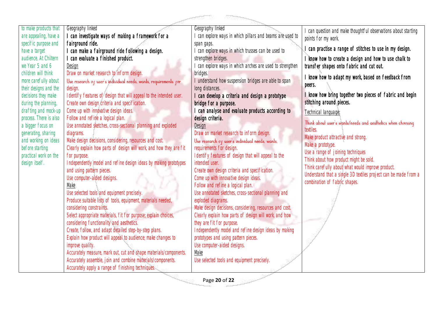| to make products that                          | Geography linked                                                           | Geography linked                                                   | I can question and make thoughtful observations about starting                       |
|------------------------------------------------|----------------------------------------------------------------------------|--------------------------------------------------------------------|--------------------------------------------------------------------------------------|
| are appealing, have a                          | I can investigate ways of making a framework for a                         | I can explore ways in which pillars and beams are used to          | points for my work.                                                                  |
| specific purpose and                           | fairground ride.                                                           | span gaps.                                                         |                                                                                      |
| have a target                                  | I can make a fairground ride following a design.                           | can explore ways in which trusses can be used to                   | can practise a range of stitches to use in my design.                                |
| audience. At Chiltern                          | I can evaluate a finished product.                                         | strengthen bridges.                                                | I know how to create a design and how to use chalk to                                |
| we Year 5 and 6                                | Design                                                                     | I can explore ways in which arches are used to strengthen          | transfer shapes onto fabric and cut out.                                             |
| children will think                            | Draw on market research to inform design.                                  | bridges.                                                           | I know how to adapt my work, based on feedback from                                  |
| more carefully about                           | Use research of user's individual needs, wants, requirements for           | I understand how suspension bridges are able to span               | peers.                                                                               |
| their designs and the                          | design.                                                                    | long distances.                                                    |                                                                                      |
| decisions they make                            | Identify features of design that will appeal to the intended user.         | I can develop a criteria and design a prototype                    | I know how bring together two pieces of fabric and begin<br>stitching around pieces. |
| during the planning,                           | Create own design criteria and specification.                              | bridge for a purpose.                                              |                                                                                      |
| drafting and mock-up<br>process. There is also | Come up with innovative design ideas.<br>Follow and refine a logical plan. | can analyse and evaluate products according to<br>design criteria. | Technical language:                                                                  |
| a bigger focus on                              | Use annotated sketches, cross-sectional planning and exploded              | Design                                                             | Think about user's wants/needs and aesthetics when choosing                          |
| generating, sharing                            | diagrams.                                                                  | Draw on market research to inform design.                          | textiles.                                                                            |
| and working on ideas                           | Make design decisions, considering, resources and cost.                    | Use research of user's individual needs, wants,                    | Make product attractive and strong.                                                  |
| before starting                                | Clearly explain how parts of design will work, and how they are fit        | requirements for design.                                           | Make a prototype.                                                                    |
| practical work on the                          | for purpose.                                                               | Identify features of design that will appeal to the                | Use a range of joining techniques                                                    |
| design itself.                                 | Independently model and refine design ideas by making prototypes           | intended user.                                                     | Think about how product might be sold.                                               |
|                                                | and using pattern pieces.                                                  | Create own design criteria and specification.                      | Think carefully about what would improve product.                                    |
|                                                | Use computer-aided designs.                                                | Come up with innovative design ideas.                              | Understand that a single 3D textiles project can be made from a                      |
|                                                | Make                                                                       | Follow and refine a logical plan.                                  | combination of fabric shapes.                                                        |
|                                                | Use selected tools and equipment precisely.                                | Use annotated sketches, cross-sectional planning and               |                                                                                      |
|                                                | Produce suitable lists of tools, equipment, materials needed,              | exploded diagrams.                                                 |                                                                                      |
|                                                | considering constraints.                                                   | Make design decisions, considering, resources and cost.            |                                                                                      |
|                                                | Select appropriate materials, fit for purpose; explain choices,            | Clearly explain how parts of design will work, and how             |                                                                                      |
|                                                | considering functionality and aesthetics.                                  | they are fit for purpose.                                          |                                                                                      |
|                                                | Create, follow, and adapt detailed step-by-step plans.                     | Independently model and refine design ideas by making              |                                                                                      |
|                                                | Explain how product will appeal to audience; make changes to               | prototypes and using pattern pieces.                               |                                                                                      |
|                                                | improve quality.                                                           | Use computer-aided designs.                                        |                                                                                      |
|                                                | Accurately measure, mark out, cut and shape materials/components.          | Make                                                               |                                                                                      |
|                                                | Accurately assemble, join and combine materials/components.                | Use selected tools and equipment precisely.                        |                                                                                      |
|                                                | Accurately apply a range of finishing techniques.                          |                                                                    |                                                                                      |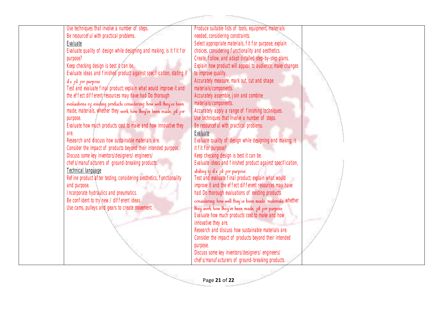|  | Use techniques that involve a number of steps.                        | Produce suitable lists of tools, equipment, materials       |  |
|--|-----------------------------------------------------------------------|-------------------------------------------------------------|--|
|  | Be resourceful with practical problems.                               | needed, considering constraints.                            |  |
|  | Evaluate                                                              | Select appropriate materials, fit for purpose; explain      |  |
|  | Evaluate quality of design while designing and making; is it fit for  | choices, considering functionality and aesthetics.          |  |
|  | purpose?                                                              | Create, follow, and adapt detailed step-by-step plans.      |  |
|  | Keep checking design is best it can be.                               | Explain how product will appeal to audience; make changes   |  |
|  | Evaluate ideas and finished product against specification, stating if | to improve quality.                                         |  |
|  | it's fit for purpose.                                                 | Accurately measure, mark out, cut and shape                 |  |
|  | Test and evaluate final product; explain what would improve it and    | materials/components.                                       |  |
|  | the effect different resources may have had Do thorough               | Accurately assemble, join and combine                       |  |
|  | evaluations of existing products considering: how well they've been   | materials/components.                                       |  |
|  | made, materials, whether they work, how they've been made, pit por    | Accurately apply a range of finishing techniques.           |  |
|  | purpose.                                                              | Use techniques that involve a number of steps.              |  |
|  | Evaluate how much products cost to make and how innovative they       | Be resourceful with practical problems.                     |  |
|  | are.                                                                  | Evaluate                                                    |  |
|  | Research and discuss how sustainable materials are.                   | Evaluate quality of design while designing and making; is   |  |
|  |                                                                       | it fit for purpose?                                         |  |
|  | Consider the impact of products beyond their intended purpose.        |                                                             |  |
|  | Discuss some key inventors/designers/ engineers/                      | Keep checking design is best it can be.                     |  |
|  | chefs/manufacturers of ground-breaking products.                      | Evaluate ideas and finished product against specification,  |  |
|  | Technical language                                                    | stating if it's fit for purpose.                            |  |
|  | Refine product after testing, considering aesthetics, functionality   | Test and evaluate final product; explain what would         |  |
|  | and purpose.                                                          | improve it and the effect different resources may have      |  |
|  | Incorporate hydraulics and pneumatics.                                | had Do thorough evaluations of existing products            |  |
|  | Be confident to try new / different ideas.                            | considering: how well they've been made, materials, Whether |  |
|  | Use cams, pulleys and gears to create movement.                       | they work, how they've been made, pit por purpose.          |  |
|  |                                                                       | Evaluate how much products cost to make and how             |  |
|  |                                                                       | innovative they are.                                        |  |
|  |                                                                       | Research and discuss how sustainable materials are.         |  |
|  |                                                                       | Consider the impact of products beyond their intended       |  |
|  |                                                                       | purpose.                                                    |  |
|  |                                                                       | Discuss some key inventors/designers/ engineers/            |  |
|  |                                                                       | chefs/manufacturers of ground-breaking products.            |  |